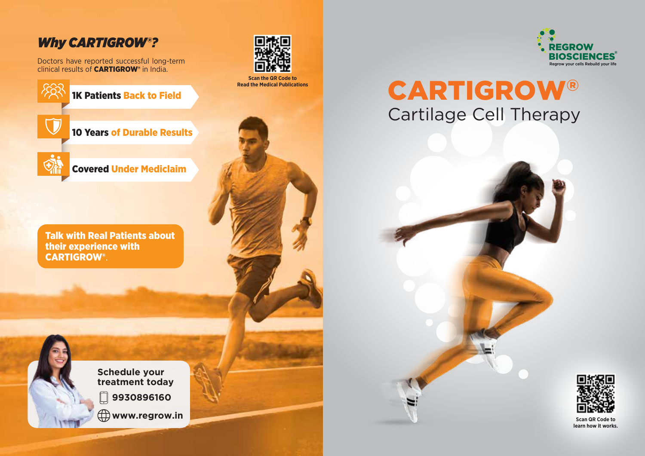# *Why CARTIGROW®?*

Doctors have reported successful long-term clinical results of CARTIGROW® in India.

1K Patients Back to Field



10 Years of Durable Results



Covered Under Mediclaim

Talk with Real Patients about their experience with CARTIGROW®.



**Schedule your treatment today**  $\Box$ **9930896160 www.regrow.in**



**Scan the QR Code to Read the Medical Publications**



# CARTIGROW® Cartilage Cell Therapy



**Scan QR Code to learn how it works.**